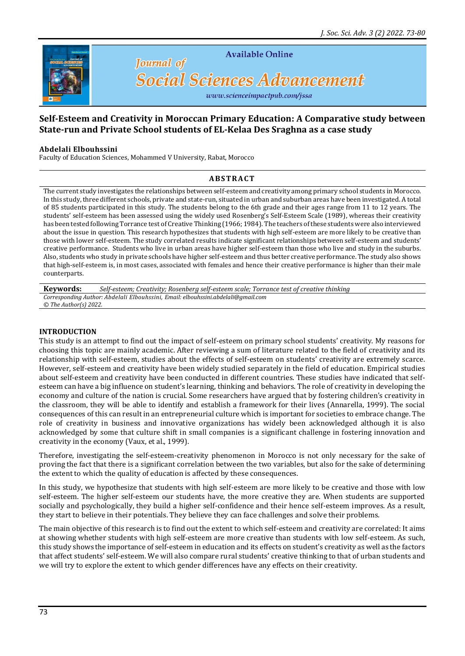

**Available Online** 

# **Social Sciences Advancement**

www.scienceimpactpub.com/jssa

# **Self-Esteem and Creativity in Moroccan Primary Education: A Comparative study between State-run and Private School students of EL-Kelaa Des Sraghna as a case study**

#### **Abdelali Elbouhssini**

Faculty of Education Sciences, Mohammed V University, Rabat, Morocco

**Journal** of

## **A B S T R A C T**

The current study investigates the relationships between self-esteem and creativity among primary school students in Morocco. In this study, three different schools, private and state-run, situated in urban and suburban areas have been investigated. A total of 85 students participated in this study. The students belong to the 6th grade and their ages range from 11 to 12 years. The students' self-esteem has been assessed using the widely used Rosenberg's Self-Esteem Scale (1989), whereas their creativity has been tested following Torrance test of Creative Thinking (1966; 1984). The teachers of these students were also interviewed about the issue in question. This research hypothesizes that students with high self-esteem are more likely to be creative than those with lower self-esteem. The study correlated results indicate significant relationships between self-esteem and students' creative performance. Students who live in urban areas have higher self-esteem than those who live and study in the suburbs. Also, students who study in private schools have higher self-esteem and thus better creative performance. The study also shows that high-self-esteem is, in most cases, associated with females and hence their creative performance is higher than their male counterparts.

**Keywords:** *Self-esteem; Creativity; Rosenberg self-esteem scale; Torrance test of creative thinking Corresponding Author: Abdelali Elbouhssini, Email[: elbouhssini.abdelali@gmail.com](mailto:elbouhssini.abdelali@gmail.com) © The Author(s) 2022.*

#### **INTRODUCTION**

This study is an attempt to find out the impact of self-esteem on primary school students' creativity. My reasons for choosing this topic are mainly academic. After reviewing a sum of literature related to the field of creativity and its relationship with self-esteem, studies about the effects of self-esteem on students' creativity are extremely scarce. However, self-esteem and creativity have been widely studied separately in the field of education. Empirical studies about self-esteem and creativity have been conducted in different countries. These studies have indicated that selfesteem can have a big influence on student's learning, thinking and behaviors. The role of creativity in developing the economy and culture of the nation is crucial. Some researchers have argued that by fostering children's creativity in the classroom, they will be able to identify and establish a framework for their lives (Annarella, 1999). The social consequences of this can result in an entrepreneurial culture which is important for societies to embrace change. The role of creativity in business and innovative organizations has widely been acknowledged although it is also acknowledged by some that culture shift in small companies is a significant challenge in fostering innovation and creativity in the economy (Vaux, et al., 1999).

Therefore, investigating the self-esteem-creativity phenomenon in Morocco is not only necessary for the sake of proving the fact that there is a significant correlation between the two variables, but also for the sake of determining the extent to which the quality of education is affected by these consequences.

In this study, we hypothesize that students with high self-esteem are more likely to be creative and those with low self-esteem. The higher self-esteem our students have, the more creative they are. When students are supported socially and psychologically, they build a higher self-confidence and their hence self-esteem improves. As a result, they start to believe in their potentials. They believe they can face challenges and solve their problems.

The main objective of this research is to find out the extent to which self-esteem and creativity are correlated: It aims at showing whether students with high self-esteem are more creative than students with low self-esteem. As such, this study shows the importance of self-esteem in education and its effects on student's creativity as well as the factors that affect students' self-esteem. We will also compare rural students' creative thinking to that of urban students and we will try to explore the extent to which gender differences have any effects on their creativity.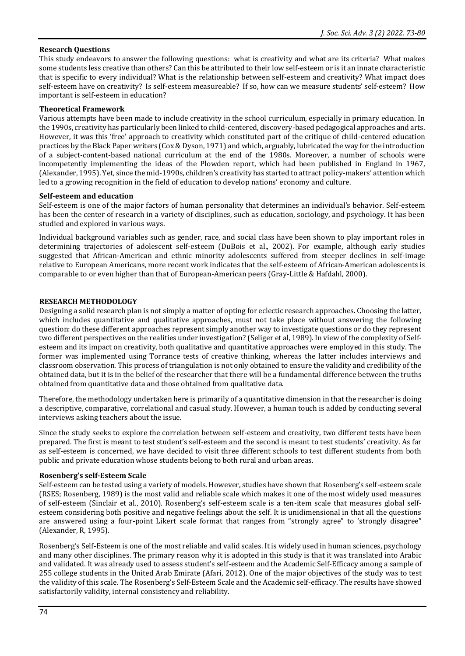## **Research Questions**

This study endeavors to answer the following questions: what is creativity and what are its criteria? What makes some students less creative than others? Can this be attributed to their low self-esteem or is it an innate characteristic that is specific to every individual? What is the relationship between self-esteem and creativity? What impact does self-esteem have on creativity? Is self-esteem measureable? If so, how can we measure students' self-esteem? How important is self-esteem in education?

#### **Theoretical Framework**

Various attempts have been made to include creativity in the school curriculum, especially in primary education. In the 1990s, creativity has particularly been linked to child-centered, discovery-based pedagogical approaches and arts. However, it was this 'free' approach to creativity which constituted part of the critique of child-centered education practices by the Black Paper writers (Cox & Dyson, 1971) and which, arguably, lubricated the way for the introduction of a subject-content-based national curriculum at the end of the 1980s. Moreover, a number of schools were incompetently implementing the ideas of the Plowden report, which had been published in England in 1967, (Alexander, 1995). Yet, since the mid-1990s, children's creativity has started to attract policy-makers' attention which led to a growing recognition in the field of education to develop nations' economy and culture.

#### **Self-esteem and education**

Self-esteem is one of the major factors of human personality that determines an individual's behavior. Self-esteem has been the center of research in a variety of disciplines, such as education, sociology, and psychology. It has been studied and explored in various ways.

Individual background variables such as gender, race, and social class have been shown to play important roles in determining trajectories of adolescent self-esteem (DuBois et al., 2002). For example, although early studies suggested that African-American and ethnic minority adolescents suffered from steeper declines in self-image relative to European Americans, more recent work indicates that the self-esteem of African-American adolescents is comparable to or even higher than that of European-American peers (Gray-Little & Hafdahl, 2000).

#### **RESEARCH METHODOLOGY**

Designing a solid research plan is not simply a matter of opting for eclectic research approaches. Choosing the latter, which includes quantitative and qualitative approaches, must not take place without answering the following question: do these different approaches represent simply another way to investigate questions or do they represent two different perspectives on the realities under investigation? (Seliger et al, 1989). In view of the complexity of Selfesteem and its impact on creativity, both qualitative and quantitative approaches were employed in this study. The former was implemented using Torrance tests of creative thinking, whereas the latter includes interviews and classroom observation. This process of triangulation is not only obtained to ensure the validity and credibility of the obtained data, but it is in the belief of the researcher that there will be a fundamental difference between the truths obtained from quantitative data and those obtained from qualitative data.

Therefore, the methodology undertaken here is primarily of a quantitative dimension in that the researcher is doing a descriptive, comparative, correlational and casual study. However, a human touch is added by conducting several interviews asking teachers about the issue.

Since the study seeks to explore the correlation between self-esteem and creativity, two different tests have been prepared. The first is meant to test student's self-esteem and the second is meant to test students' creativity. As far as self-esteem is concerned, we have decided to visit three different schools to test different students from both public and private education whose students belong to both rural and urban areas.

#### **Rosenberg's self-Esteem Scale**

Self-esteem can be tested using a variety of models. However, studies have shown that Rosenberg's self-esteem scale (RSES; Rosenberg, 1989) is the most valid and reliable scale which makes it one of the most widely used measures of self-esteem (Sinclair et al., 2010). Rosenberg's self-esteem scale is a ten-item scale that measures global selfesteem considering both positive and negative feelings about the self. It is unidimensional in that all the questions are answered using a four-point Likert scale format that ranges from "strongly agree" to 'strongly disagree" (Alexander, R, 1995).

Rosenberg's Self-Esteem is one of the most reliable and valid scales. It is widely used in human sciences, psychology and many other disciplines. The primary reason why it is adopted in this study is that it was translated into Arabic and validated. It was already used to assess student's self-esteem and the Academic Self-Efficacy among a sample of 255 college students in the United Arab Emirate (Afari, 2012). One of the major objectives of the study was to test the validity of this scale. The Rosenberg's Self-Esteem Scale and the Academic self-efficacy. The results have showed satisfactorily validity, internal consistency and reliability.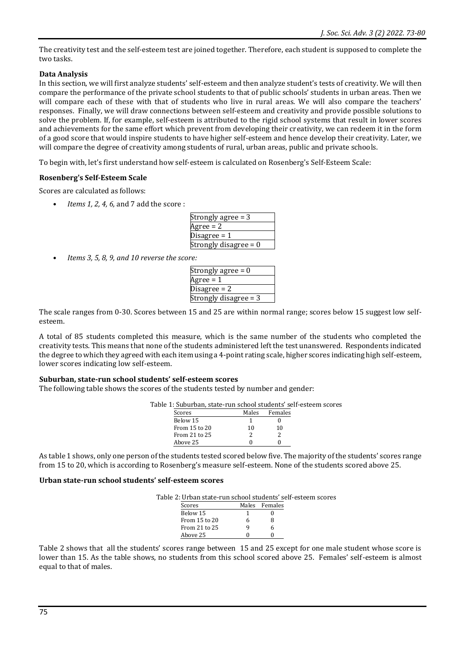The creativity test and the self-esteem test are joined together. Therefore, each student is supposed to complete the two tasks.

## **Data Analysis**

In this section, we will first analyze students' self-esteem and then analyze student's tests of creativity. We will then compare the performance of the private school students to that of public schools' students in urban areas. Then we will compare each of these with that of students who live in rural areas. We will also compare the teachers' responses. Finally, we will draw connections between self-esteem and creativity and provide possible solutions to solve the problem. If, for example, self-esteem is attributed to the rigid school systems that result in lower scores and achievements for the same effort which prevent from developing their creativity, we can redeem it in the form of a good score that would inspire students to have higher self-esteem and hence develop their creativity. Later, we will compare the degree of creativity among students of rural, urban areas, public and private schools.

To begin with, let's first understand how self-esteem is calculated on Rosenberg's Self-Esteem Scale:

## **Rosenberg's Self-Esteem Scale**

Scores are calculated as follows:

• *Items 1, 2, 4, 6,* and 7 add the score :

| Strongly agree = 3    |
|-----------------------|
| Agree = 2             |
| Disagree = 1          |
| Strongly disagree = 0 |

• *Items 3, 5, 8, 9, and 10 reverse the score:*

| Strongly agree = 0    |
|-----------------------|
| Agree = 1             |
| Disagree = 2          |
| Strongly disagree = 3 |
|                       |

The scale ranges from 0-30. Scores between 15 and 25 are within normal range; scores below 15 suggest low selfesteem.

A total of 85 students completed this measure, which is the same number of the students who completed the creativity tests. This means that none of the students administered left the test unanswered. Respondents indicated the degree to which they agreed with each item using a 4-point rating scale, higher scores indicating high self-esteem, lower scores indicating low self-esteem.

#### **Suburban, state-run school students' self-esteem scores**

The following table shows the scores of the students tested by number and gender:

Table 1: Suburban, state-run school students' self-esteem scores

| Scores        | Males | Females |
|---------------|-------|---------|
| Below 15      |       |         |
| From 15 to 20 | 10    | 10      |
| From 21 to 25 |       |         |
| Above 25      |       |         |

As table 1 shows, only one person of the students tested scored below five. The majority of the students' scores range from 15 to 20, which is according to Rosenberg's measure self-esteem. None of the students scored above 25.

#### **Urban state-run school students' self-esteem scores**

| Table 2: Urban state-run school students' self-esteem scores |  |  |
|--------------------------------------------------------------|--|--|
|                                                              |  |  |

| Scores        |   | Males Females |
|---------------|---|---------------|
| Below 15      |   |               |
| From 15 to 20 | 6 | Զ             |
| From 21 to 25 |   | h             |
| Above 25      |   |               |

Table 2 shows that all the students' scores range between 15 and 25 except for one male student whose score is lower than 15. As the table shows, no students from this school scored above 25. Females' self-esteem is almost equal to that of males.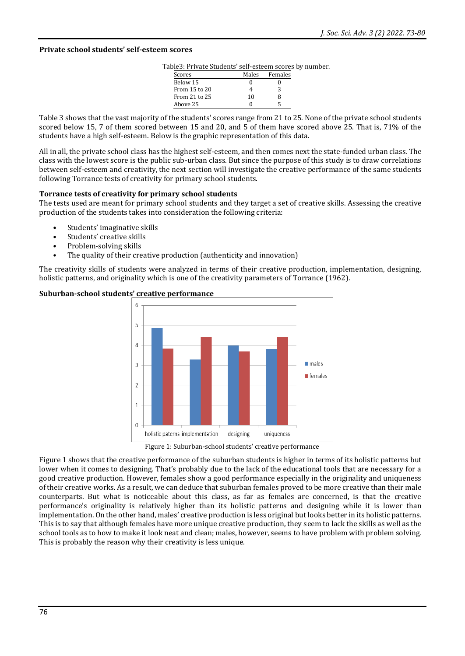#### **Private school students' self-esteem scores**

Table3: Private Students' self-esteem scores by number.

| Scores        | Males | Females |
|---------------|-------|---------|
| Below 15      |       |         |
| From 15 to 20 |       | 3       |
| From 21 to 25 | 10    | 8       |
| Above 25      |       | ц       |

Table 3 shows that the vast majority of the students' scores range from 21 to 25. None of the private school students scored below 15, 7 of them scored between 15 and 20, and 5 of them have scored above 25. That is, 71% of the students have a high self-esteem. Below is the graphic representation of this data.

All in all, the private school class has the highest self-esteem, and then comes next the state-funded urban class. The class with the lowest score is the public sub-urban class. But since the purpose of this study is to draw correlations between self-esteem and creativity, the next section will investigate the creative performance of the same students following Torrance tests of creativity for primary school students.

#### **Torrance tests of creativity for primary school students**

The tests used are meant for primary school students and they target a set of creative skills. Assessing the creative production of the students takes into consideration the following criteria:

- Students' imaginative skills
- Students' creative skills
- Problem-solving skills
- The quality of their creative production (authenticity and innovation)

The creativity skills of students were analyzed in terms of their creative production, implementation, designing, holistic patterns, and originality which is one of the creativity parameters of Torrance (1962).



**Suburban-school students' creative performance** 

Figure 1: Suburban-school students' creative performance

Figure 1 shows that the creative performance of the suburban students is higher in terms of its holistic patterns but lower when it comes to designing. That's probably due to the lack of the educational tools that are necessary for a good creative production. However, females show a good performance especially in the originality and uniqueness of their creative works. As a result, we can deduce that suburban females proved to be more creative than their male counterparts. But what is noticeable about this class, as far as females are concerned, is that the creative performance's originality is relatively higher than its holistic patterns and designing while it is lower than implementation. On the other hand, males' creative production is less original but looks better in its holistic patterns. This is to say that although females have more unique creative production, they seem to lack the skills as well as the school tools as to how to make it look neat and clean; males, however, seems to have problem with problem solving. This is probably the reason why their creativity is less unique.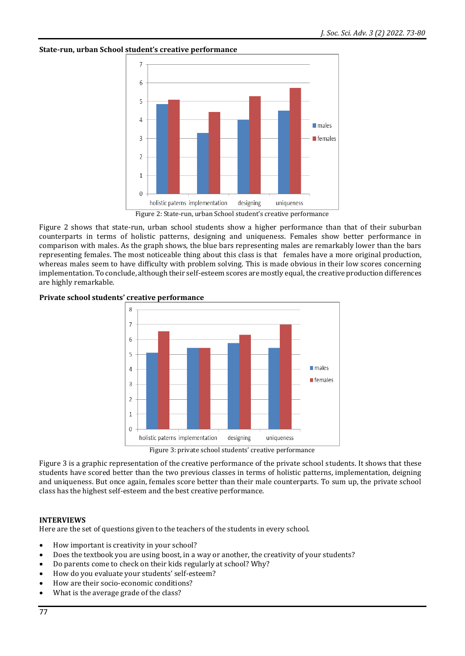# $\overline{7}$ 6 5  $\Delta$ **In males**  $\overline{3}$  $\blacksquare$  females  $\overline{2}$ 1  $\Omega$ holistic paterns implementation designing uniqueness Figure 2: State-run, urban School student's creative performance

**State-run, urban School student's creative performance**

Figure 2 shows that state-run, urban school students show a higher performance than that of their suburban counterparts in terms of holistic patterns, designing and uniqueness. Females show better performance in comparison with males. As the graph shows, the blue bars representing males are remarkably lower than the bars representing females. The most noticeable thing about this class is that females have a more original production, whereas males seem to have difficulty with problem solving. This is made obvious in their low scores concerning implementation. To conclude, although their self-esteem scores are mostly equal, the creative production differences are highly remarkable.





Figure 3: private school students' creative performance

Figure 3 is a graphic representation of the creative performance of the private school students. It shows that these students have scored better than the two previous classes in terms of holistic patterns, implementation, deigning and uniqueness. But once again, females score better than their male counterparts. To sum up, the private school class has the highest self-esteem and the best creative performance.

# **INTERVIEWS**

Here are the set of questions given to the teachers of the students in every school.

- How important is creativity in your school?
- Does the textbook you are using boost, in a way or another, the creativity of your students?
- Do parents come to check on their kids regularly at school? Why?
- How do you evaluate your students' self-esteem?
- How are their socio-economic conditions?
- What is the average grade of the class?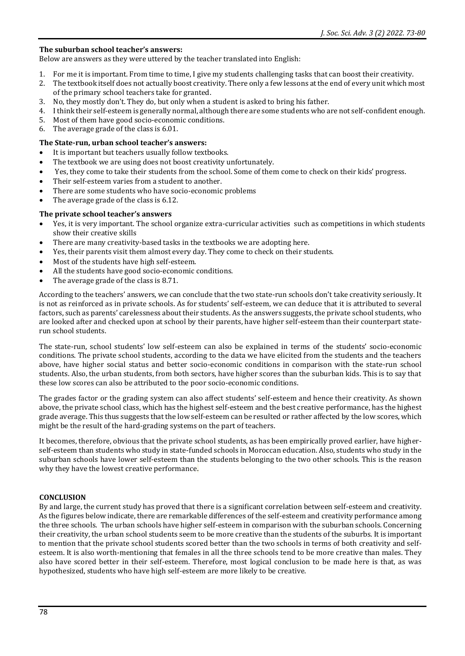#### **The suburban school teacher's answers:**

Below are answers as they were uttered by the teacher translated into English:

- 1. For me it is important. From time to time, I give my students challenging tasks that can boost their creativity.
- 2. The textbook itself does not actually boost creativity. There only a few lessons at the end of every unit which most of the primary school teachers take for granted.
- 3. No, they mostly don't. They do, but only when a student is asked to bring his father.
- 4. I think their self-esteem is generally normal, although there are some students who are not self-confident enough.
- 5. Most of them have good socio-economic conditions.
- 6. The average grade of the class is 6.01.

#### **The State-run, urban school teacher's answers:**

- It is important but teachers usually follow textbooks.
- The textbook we are using does not boost creativity unfortunately.
- Yes, they come to take their students from the school. Some of them come to check on their kids' progress.
- Their self-esteem varies from a student to another.
- There are some students who have socio-economic problems
- The average grade of the class is 6.12.

#### **The private school teacher's answers**

- Yes, it is very important. The school organize extra-curricular activities such as competitions in which students show their creative skills
- There are many creativity-based tasks in the textbooks we are adopting here.
- Yes, their parents visit them almost every day. They come to check on their students.
- Most of the students have high self-esteem.
- All the students have good socio-economic conditions.
- The average grade of the class is 8.71.

According to the teachers' answers, we can conclude that the two state-run schools don't take creativity seriously. It is not as reinforced as in private schools. As for students' self-esteem, we can deduce that it is attributed to several factors, such as parents' carelessness about their students. As the answers suggests, the private school students, who are looked after and checked upon at school by their parents, have higher self-esteem than their counterpart staterun school students.

The state-run, school students' low self-esteem can also be explained in terms of the students' socio-economic conditions. The private school students, according to the data we have elicited from the students and the teachers above, have higher social status and better socio-economic conditions in comparison with the state-run school students. Also, the urban students, from both sectors, have higher scores than the suburban kids. This is to say that these low scores can also be attributed to the poor socio-economic conditions.

The grades factor or the grading system can also affect students' self-esteem and hence their creativity. As shown above, the private school class, which has the highest self-esteem and the best creative performance, has the highest grade average. This thus suggests that the low self-esteem can be resulted or rather affected by the low scores, which might be the result of the hard-grading systems on the part of teachers.

It becomes, therefore, obvious that the private school students, as has been empirically proved earlier, have higherself-esteem than students who study in state-funded schools in Moroccan education. Also, students who study in the suburban schools have lower self-esteem than the students belonging to the two other schools. This is the reason why they have the lowest creative performance.

## **CONCLUSION**

By and large, the current study has proved that there is a significant correlation between self-esteem and creativity. As the figures below indicate, there are remarkable differences of the self-esteem and creativity performance among the three schools. The urban schools have higher self-esteem in comparison with the suburban schools. Concerning their creativity, the urban school students seem to be more creative than the students of the suburbs. It is important to mention that the private school students scored better than the two schools in terms of both creativity and selfesteem. It is also worth-mentioning that females in all the three schools tend to be more creative than males. They also have scored better in their self-esteem. Therefore, most logical conclusion to be made here is that, as was hypothesized, students who have high self-esteem are more likely to be creative.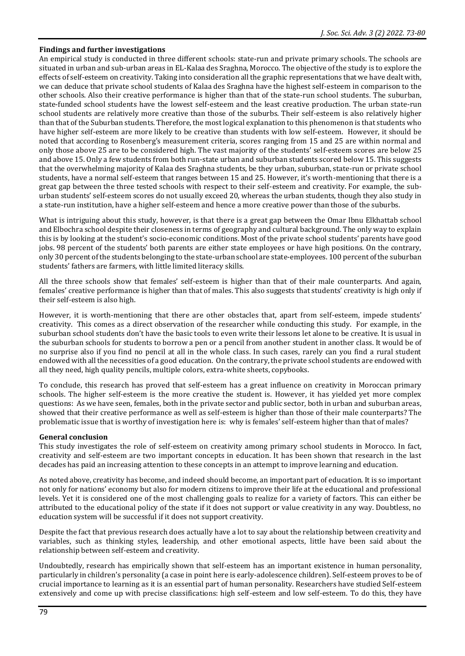#### **Findings and further investigations**

An empirical study is conducted in three different schools: state-run and private primary schools. The schools are situated in urban and sub-urban areas in EL-Kalaa des Sraghna, Morocco. The objective of the study is to explore the effects of self-esteem on creativity. Taking into consideration all the graphic representations that we have dealt with, we can deduce that private school students of Kalaa des Sraghna have the highest self-esteem in comparison to the other schools. Also their creative performance is higher than that of the state-run school students. The suburban, state-funded school students have the lowest self-esteem and the least creative production. The urban state-run school students are relatively more creative than those of the suburbs. Their self-esteem is also relatively higher than that of the Suburban students. Therefore, the most logical explanation to this phenomenon is that students who have higher self-esteem are more likely to be creative than students with low self-esteem. However, it should be noted that according to Rosenberg's measurement criteria, scores ranging from 15 and 25 are within normal and only those above 25 are to be considered high. The vast majority of the students' self-esteem scores are below 25 and above 15. Only a few students from both run-state urban and suburban students scored below 15. This suggests that the overwhelming majority of Kalaa des Sraghna students, be they urban, suburban, state-run or private school students, have a normal self-esteem that ranges between 15 and 25. However, it's worth-mentioning that there is a great gap between the three tested schools with respect to their self-esteem and creativity. For example, the suburban students' self-esteem scores do not usually exceed 20, whereas the urban students, though they also study in a state-run institution, have a higher self-esteem and hence a more creative power than those of the suburbs.

What is intriguing about this study, however, is that there is a great gap between the Omar Ibnu Elkhattab school and Elbochra school despite their closeness in terms of geography and cultural background. The only way to explain this is by looking at the student's socio-economic conditions. Most of the private school students' parents have good jobs. 98 percent of the students' both parents are either state employees or have high positions. On the contrary, only 30 percent of the students belonging to the state-urban school are state-employees. 100 percent of the suburban students' fathers are farmers, with little limited literacy skills.

All the three schools show that females' self-esteem is higher than that of their male counterparts. And again, females' creative performance is higher than that of males. This also suggests that students' creativity is high only if their self-esteem is also high.

However, it is worth-mentioning that there are other obstacles that, apart from self-esteem, impede students' creativity. This comes as a direct observation of the researcher while conducting this study. For example, in the suburban school students don't have the basic tools to even write their lessons let alone to be creative. It is usual in the suburban schools for students to borrow a pen or a pencil from another student in another class. It would be of no surprise also if you find no pencil at all in the whole class. In such cases, rarely can you find a rural student endowed with all the necessities of a good education. On the contrary, the private school students are endowed with all they need, high quality pencils, multiple colors, extra-white sheets, copybooks.

To conclude, this research has proved that self-esteem has a great influence on creativity in Moroccan primary schools. The higher self-esteem is the more creative the student is. However, it has yielded yet more complex questions: As we have seen, females, both in the private sector and public sector, both in urban and suburban areas, showed that their creative performance as well as self-esteem is higher than those of their male counterparts? The problematic issue that is worthy of investigation here is: why is females' self-esteem higher than that of males?

#### **General conclusion**

This study investigates the role of self-esteem on creativity among primary school students in Morocco. In fact, creativity and self-esteem are two important concepts in education. It has been shown that research in the last decades has paid an increasing attention to these concepts in an attempt to improve learning and education.

As noted above, creativity has become, and indeed should become, an important part of education. It is so important not only for nations' economy but also for modern citizens to improve their life at the educational and professional levels. Yet it is considered one of the most challenging goals to realize for a variety of factors. This can either be attributed to the educational policy of the state if it does not support or value creativity in any way. Doubtless, no education system will be successful if it does not support creativity.

Despite the fact that previous research does actually have a lot to say about the relationship between creativity and variables, such as thinking styles, leadership, and other emotional aspects, little have been said about the relationship between self-esteem and creativity.

Undoubtedly, research has empirically shown that self-esteem has an important existence in human personality, particularly in children's personality (a case in point here is early-adolescence children). Self-esteem proves to be of crucial importance to learning as it is an essential part of human personality. Researchers have studied Self-esteem extensively and come up with precise classifications: high self-esteem and low self-esteem. To do this, they have